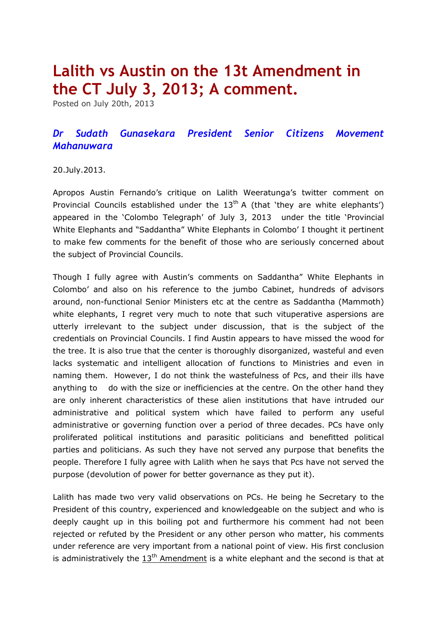## **Lalith vs Austin on the 13t Amendment in the CT July 3, 2013; A comment.**

Posted on July 20th, 2013

## *Dr Sudath Gunasekara President Senior Citizens Movement Mahanuwara*

## 20.July.2013.

Apropos Austin Fernando's critique on Lalith Weeratunga's twitter comment on Provincial Councils established under the  $13<sup>th</sup>$  A (that 'they are white elephants') appeared in the '[Colombo Telegraph](http://www.colombotelegraph.com/index.php/category/colombotelegraph/)' of July 3, 2013 under the title 'Provincial White Elephants and "Saddantha" White Elephants in Colombo' I thought it pertinent to make few comments for the benefit of those who are seriously concerned about the subject of Provincial Councils.

Though I fully agree with Austin's comments on Saddantha" White Elephants in Colombo' and also on his reference to the jumbo Cabinet, hundreds of advisors around, non-functional Senior Ministers etc at the centre as Saddantha (Mammoth) white elephants, I regret very much to note that such vituperative aspersions are utterly irrelevant to the subject under discussion, that is the subject of the credentials on Provincial Councils. I find Austin appears to have missed the wood for the tree. It is also true that the center is thoroughly disorganized, wasteful and even lacks systematic and intelligent allocation of functions to Ministries and even in naming them. However, I do not think the wastefulness of Pcs, and their ills have anything to do with the size or inefficiencies at the centre. On the other hand they are only inherent characteristics of these alien institutions that have intruded our administrative and political system which have failed to perform any useful administrative or governing function over a period of three decades. PCs have only proliferated political institutions and parasitic politicians and benefitted political parties and politicians. As such they have not served any purpose that benefits the people. Therefore I fully agree with Lalith when he says that Pcs have not served the purpose (devolution of power for better governance as they put it).

Lalith has made two very valid observations on PCs. He being he Secretary to the President of this country, experienced and knowledgeable on the subject and who is deeply caught up in this boiling pot and furthermore his comment had not been rejected or refuted by the President or any other person who matter, his comments under reference are very important from a national point of view. His first conclusion is administratively the  $13<sup>th</sup>$  [Amendment](http://www.colombotelegraph.com/?s=13th+Amendment&x=12&y=5) is a white elephant and the second is that at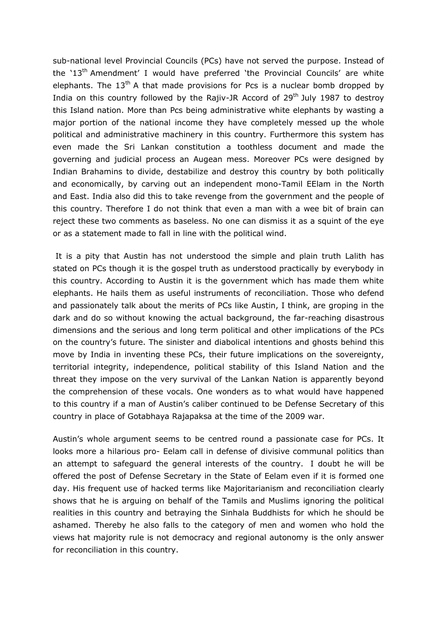sub-national level Provincial Councils (PCs) have not served the purpose. Instead of the '13<sup>th</sup> Amendment' I would have preferred 'the Provincial Councils' are white elephants. The  $13<sup>th</sup>$  A that made provisions for Pcs is a nuclear bomb dropped by India on this country followed by the Rajiv-JR Accord of  $29<sup>th</sup>$  July 1987 to destrov this Island nation. More than Pcs being administrative white elephants by wasting a major portion of the national income they have completely messed up the whole political and administrative machinery in this country. Furthermore this system has even made the Sri Lankan constitution a toothless document and made the governing and judicial process an Augean mess. Moreover PCs were designed by Indian Brahamins to divide, destabilize and destroy this country by both politically and economically, by carving out an independent mono-Tamil EElam in the North and East. India also did this to take revenge from the government and the people of this country. Therefore I do not think that even a man with a wee bit of brain can reject these two comments as baseless. No one can dismiss it as a squint of the eye or as a statement made to fall in line with the political wind.

It is a pity that Austin has not understood the simple and plain truth Lalith has stated on PCs though it is the gospel truth as understood practically by everybody in this country. According to Austin it is the government which has made them white elephants. He hails them as useful instruments of reconciliation. Those who defend and passionately talk about the merits of PCs like Austin, I think, are groping in the dark and do so without knowing the actual background, the far-reaching disastrous dimensions and the serious and long term political and other implications of the PCs on the country's future. The sinister and diabolical intentions and ghosts behind this move by India in inventing these PCs, their future implications on the sovereignty, territorial integrity, independence, political stability of this Island Nation and the threat they impose on the very survival of the Lankan Nation is apparently beyond the comprehension of these vocals. One wonders as to what would have happened to this country if a man of Austin's caliber continued to be Defense Secretary of this country in place of Gotabhaya Rajapaksa at the time of the 2009 war.

Austin's whole argument seems to be centred round a passionate case for PCs. It looks more a hilarious pro- Eelam call in defense of divisive communal politics than an attempt to safeguard the general interests of the country. I doubt he will be offered the post of Defense Secretary in the State of Eelam even if it is formed one day. His frequent use of hacked terms like Majoritarianism and reconciliation clearly shows that he is arguing on behalf of the Tamils and Muslims ignoring the political realities in this country and betraying the Sinhala Buddhists for which he should be ashamed. Thereby he also falls to the category of men and women who hold the views hat majority rule is not democracy and regional autonomy is the only answer for reconciliation in this country.